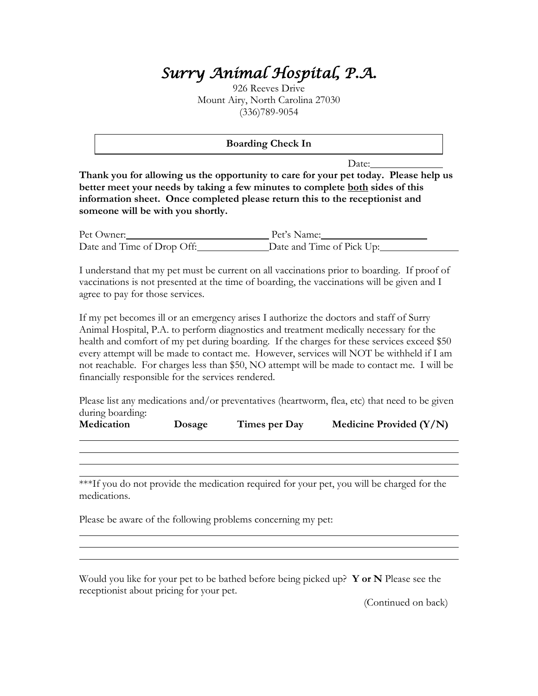## *Surry Animal Hospital, P.A.*

926 Reeves Drive Mount Airy, North Carolina 27030 (336)789-9054

**Boarding Check In**

Date:

**Thank you for allowing us the opportunity to care for your pet today. Please help us better meet your needs by taking a few minutes to complete both sides of this information sheet. Once completed please return this to the receptionist and someone will be with you shortly.** 

Pet Owner: Pet's Name: Date and Time of Drop Off: Date and Time of Pick Up:

I understand that my pet must be current on all vaccinations prior to boarding. If proof of vaccinations is not presented at the time of boarding, the vaccinations will be given and I agree to pay for those services.

If my pet becomes ill or an emergency arises I authorize the doctors and staff of Surry Animal Hospital, P.A. to perform diagnostics and treatment medically necessary for the health and comfort of my pet during boarding. If the charges for these services exceed \$50 every attempt will be made to contact me. However, services will NOT be withheld if I am not reachable. For charges less than \$50, NO attempt will be made to contact me. I will be financially responsible for the services rendered.

Please list any medications and/or preventatives (heartworm, flea, etc) that need to be given during boarding:

| Medication<br>Times per Day<br>Dosage | Medicine Provided $(Y/N)$ |
|---------------------------------------|---------------------------|
|---------------------------------------|---------------------------|

\*\*\*If you do not provide the medication required for your pet, you will be charged for the medications.

Please be aware of the following problems concerning my pet:

Would you like for your pet to be bathed before being picked up? **Y or N** Please see the receptionist about pricing for your pet.

(Continued on back)